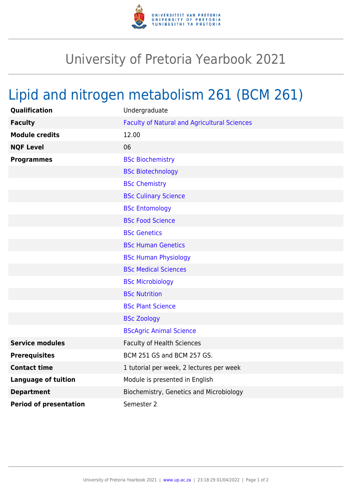

## University of Pretoria Yearbook 2021

## Lipid and nitrogen metabolism 261 (BCM 261)

| <b>Qualification</b>          | Undergraduate                                       |
|-------------------------------|-----------------------------------------------------|
| <b>Faculty</b>                | <b>Faculty of Natural and Agricultural Sciences</b> |
| <b>Module credits</b>         | 12.00                                               |
| <b>NQF Level</b>              | 06                                                  |
| <b>Programmes</b>             | <b>BSc Biochemistry</b>                             |
|                               | <b>BSc Biotechnology</b>                            |
|                               | <b>BSc Chemistry</b>                                |
|                               | <b>BSc Culinary Science</b>                         |
|                               | <b>BSc Entomology</b>                               |
|                               | <b>BSc Food Science</b>                             |
|                               | <b>BSc Genetics</b>                                 |
|                               | <b>BSc Human Genetics</b>                           |
|                               | <b>BSc Human Physiology</b>                         |
|                               | <b>BSc Medical Sciences</b>                         |
|                               | <b>BSc Microbiology</b>                             |
|                               | <b>BSc Nutrition</b>                                |
|                               | <b>BSc Plant Science</b>                            |
|                               | <b>BSc Zoology</b>                                  |
|                               | <b>BScAgric Animal Science</b>                      |
| <b>Service modules</b>        | <b>Faculty of Health Sciences</b>                   |
| <b>Prerequisites</b>          | BCM 251 GS and BCM 257 GS.                          |
| <b>Contact time</b>           | 1 tutorial per week, 2 lectures per week            |
| <b>Language of tuition</b>    | Module is presented in English                      |
| <b>Department</b>             | Biochemistry, Genetics and Microbiology             |
| <b>Period of presentation</b> | Semester 2                                          |